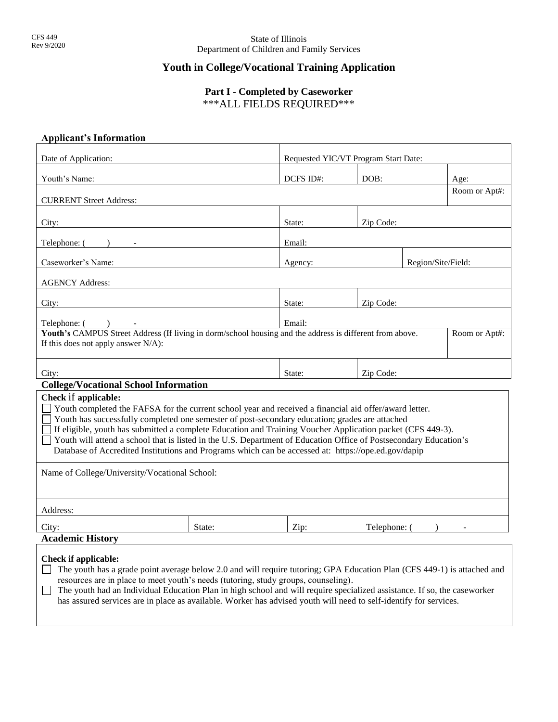### State of Illinois Department of Children and Family Services

# **Youth in College/Vocational Training Application**

# **Part I - Completed by Caseworker** \*\*\*ALL FIELDS REQUIRED\*\*\*

| <b>Applicant's Information</b>                                                                                                                                                                                                                                                                                                                                                                                                                                                                                                                                                                                                                                                  |        |                                      |              |                    |               |  |
|---------------------------------------------------------------------------------------------------------------------------------------------------------------------------------------------------------------------------------------------------------------------------------------------------------------------------------------------------------------------------------------------------------------------------------------------------------------------------------------------------------------------------------------------------------------------------------------------------------------------------------------------------------------------------------|--------|--------------------------------------|--------------|--------------------|---------------|--|
| Date of Application:                                                                                                                                                                                                                                                                                                                                                                                                                                                                                                                                                                                                                                                            |        | Requested YIC/VT Program Start Date: |              |                    |               |  |
| Youth's Name:                                                                                                                                                                                                                                                                                                                                                                                                                                                                                                                                                                                                                                                                   |        | DCFS ID#:                            | DOB:         |                    | Age:          |  |
| <b>CURRENT Street Address:</b>                                                                                                                                                                                                                                                                                                                                                                                                                                                                                                                                                                                                                                                  |        |                                      |              |                    | Room or Apt#: |  |
| City:                                                                                                                                                                                                                                                                                                                                                                                                                                                                                                                                                                                                                                                                           |        | State:                               | Zip Code:    |                    |               |  |
| Telephone: (                                                                                                                                                                                                                                                                                                                                                                                                                                                                                                                                                                                                                                                                    |        | Email:                               |              |                    |               |  |
| Caseworker's Name:                                                                                                                                                                                                                                                                                                                                                                                                                                                                                                                                                                                                                                                              |        | Agency:                              |              | Region/Site/Field: |               |  |
| <b>AGENCY Address:</b>                                                                                                                                                                                                                                                                                                                                                                                                                                                                                                                                                                                                                                                          |        |                                      |              |                    |               |  |
| City:                                                                                                                                                                                                                                                                                                                                                                                                                                                                                                                                                                                                                                                                           |        | State:<br>Zip Code:                  |              |                    |               |  |
| Telephone: (                                                                                                                                                                                                                                                                                                                                                                                                                                                                                                                                                                                                                                                                    |        | Email:                               |              |                    |               |  |
| Youth's CAMPUS Street Address (If living in dorm/school housing and the address is different from above.<br>Room or Apt#:<br>If this does not apply answer $N/A$ ):                                                                                                                                                                                                                                                                                                                                                                                                                                                                                                             |        |                                      |              |                    |               |  |
| City:                                                                                                                                                                                                                                                                                                                                                                                                                                                                                                                                                                                                                                                                           |        | Zip Code:<br>State:                  |              |                    |               |  |
| <b>College/Vocational School Information</b><br>Check if applicable:<br>□ Youth completed the FAFSA for the current school year and received a financial aid offer/award letter.<br>Youth has successfully completed one semester of post-secondary education; grades are attached<br>□ If eligible, youth has submitted a complete Education and Training Voucher Application packet (CFS 449-3).<br>Youth will attend a school that is listed in the U.S. Department of Education Office of Postsecondary Education's<br>Database of Accredited Institutions and Programs which can be accessed at: https://ope.ed.gov/dapip<br>Name of College/University/Vocational School: |        |                                      |              |                    |               |  |
| Address:                                                                                                                                                                                                                                                                                                                                                                                                                                                                                                                                                                                                                                                                        |        |                                      |              |                    |               |  |
| City:                                                                                                                                                                                                                                                                                                                                                                                                                                                                                                                                                                                                                                                                           | State: | Zip:                                 | Telephone: ( |                    |               |  |
| <b>Academic History</b><br>Check if applicable:<br>The youth has a grade point average below 2.0 and will require tutoring; GPA Education Plan (CFS 449-1) is attached and<br>resources are in place to meet youth's needs (tutoring, study groups, counseling).<br>The youth had an Individual Education Plan in high school and will require specialized assistance. If so, the caseworker<br>has assured services are in place as available. Worker has advised youth will need to self-identify for services.                                                                                                                                                               |        |                                      |              |                    |               |  |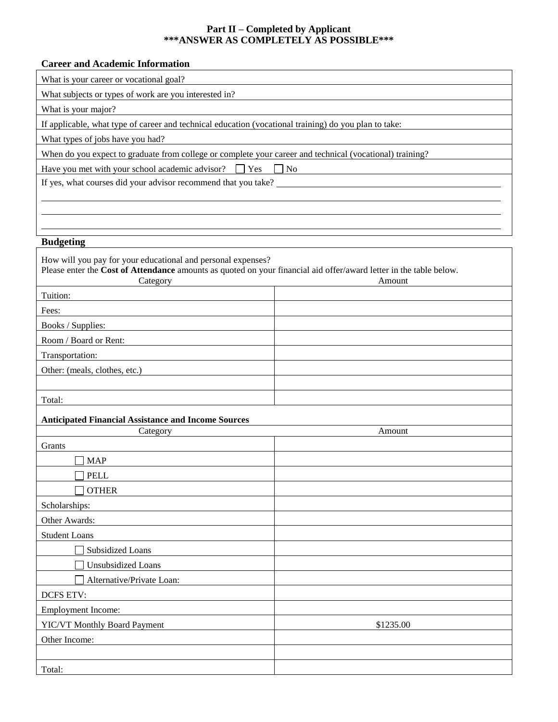# **Part II – Completed by Applicant \*\*\*ANSWER AS COMPLETELY AS POSSIBLE\*\*\***

# **Career and Academic Information**

What is your career or vocational goal?

What subjects or types of work are you interested in?

What is your major?

If applicable, what type of career and technical education (vocational training) do you plan to take:

What types of jobs have you had?

When do you expect to graduate from college or complete your career and technical (vocational) training?

Have you met with your school academic advisor?  $\Box$  Yes  $\Box$  No

If yes, what courses did your advisor recommend that you take?

# **Budgeting**

| How will you pay for your educational and personal expenses?<br>Please enter the Cost of Attendance amounts as quoted on your financial aid offer/award letter in the table below.<br>Category | Amount    |
|------------------------------------------------------------------------------------------------------------------------------------------------------------------------------------------------|-----------|
| Tuition:                                                                                                                                                                                       |           |
| Fees:                                                                                                                                                                                          |           |
| Books / Supplies:                                                                                                                                                                              |           |
| Room / Board or Rent:                                                                                                                                                                          |           |
| Transportation:                                                                                                                                                                                |           |
| Other: (meals, clothes, etc.)                                                                                                                                                                  |           |
|                                                                                                                                                                                                |           |
| Total:                                                                                                                                                                                         |           |
| <b>Anticipated Financial Assistance and Income Sources</b>                                                                                                                                     |           |
| Category                                                                                                                                                                                       | Amount    |
| Grants                                                                                                                                                                                         |           |
| <b>MAP</b>                                                                                                                                                                                     |           |
| <b>PELL</b>                                                                                                                                                                                    |           |
| <b>OTHER</b>                                                                                                                                                                                   |           |
| Scholarships:                                                                                                                                                                                  |           |
| Other Awards:                                                                                                                                                                                  |           |
| <b>Student Loans</b>                                                                                                                                                                           |           |
| <b>Subsidized Loans</b>                                                                                                                                                                        |           |
| <b>Unsubsidized Loans</b>                                                                                                                                                                      |           |
| Alternative/Private Loan:                                                                                                                                                                      |           |
| <b>DCFS ETV:</b>                                                                                                                                                                               |           |
| <b>Employment Income:</b>                                                                                                                                                                      |           |
| <b>YIC/VT Monthly Board Payment</b>                                                                                                                                                            | \$1235.00 |
| Other Income:                                                                                                                                                                                  |           |
|                                                                                                                                                                                                |           |
| Total:                                                                                                                                                                                         |           |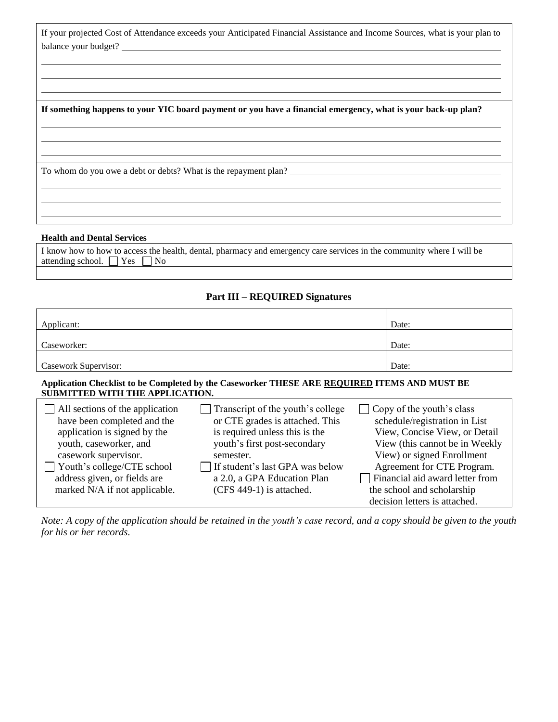If your projected Cost of Attendance exceeds your Anticipated Financial Assistance and Income Sources, what is your plan to balance your budget?

**If something happens to your YIC board payment or you have a financial emergency, what is your back-up plan?**

To whom do you owe a debt or debts? What is the repayment plan?

#### **Health and Dental Services**

|                                        | I know how to how to access the health, dental, pharmacy and emergency care services in the community where I will be |
|----------------------------------------|-----------------------------------------------------------------------------------------------------------------------|
| attending school. $\Box$ Yes $\Box$ No |                                                                                                                       |

#### **Part III – REQUIRED Signatures**

| Applicant:           | Date: |
|----------------------|-------|
|                      |       |
| Caseworker:          | Date: |
|                      |       |
| Casework Supervisor: | Date: |

# **Application Checklist to be Completed by the Caseworker THESE ARE REQUIRED ITEMS AND MUST BE SUBMITTED WITH THE APPLICATION.**

| $\Box$ All sections of the application | $\Box$ Transcript of the youth's college | $\Box$ Copy of the youth's class                            |
|----------------------------------------|------------------------------------------|-------------------------------------------------------------|
| have been completed and the            | or CTE grades is attached. This          | schedule/registration in List                               |
| application is signed by the           | is required unless this is the           | View, Concise View, or Detail                               |
| youth, caseworker, and                 | youth's first post-secondary             | View (this cannot be in Weekly                              |
| casework supervisor.                   | semester.                                | View) or signed Enrollment                                  |
| $\Box$ Youth's college/CTE school      | If student's last GPA was below          | Agreement for CTE Program.                                  |
| address given, or fields are           | a 2.0, a GPA Education Plan              | Financial aid award letter from                             |
| marked N/A if not applicable.          | (CFS 449-1) is attached.                 | the school and scholarship<br>decision letters is attached. |

*Note: A copy of the application should be retained in the youth's case record, and a copy should be given to the youth for his or her records*.